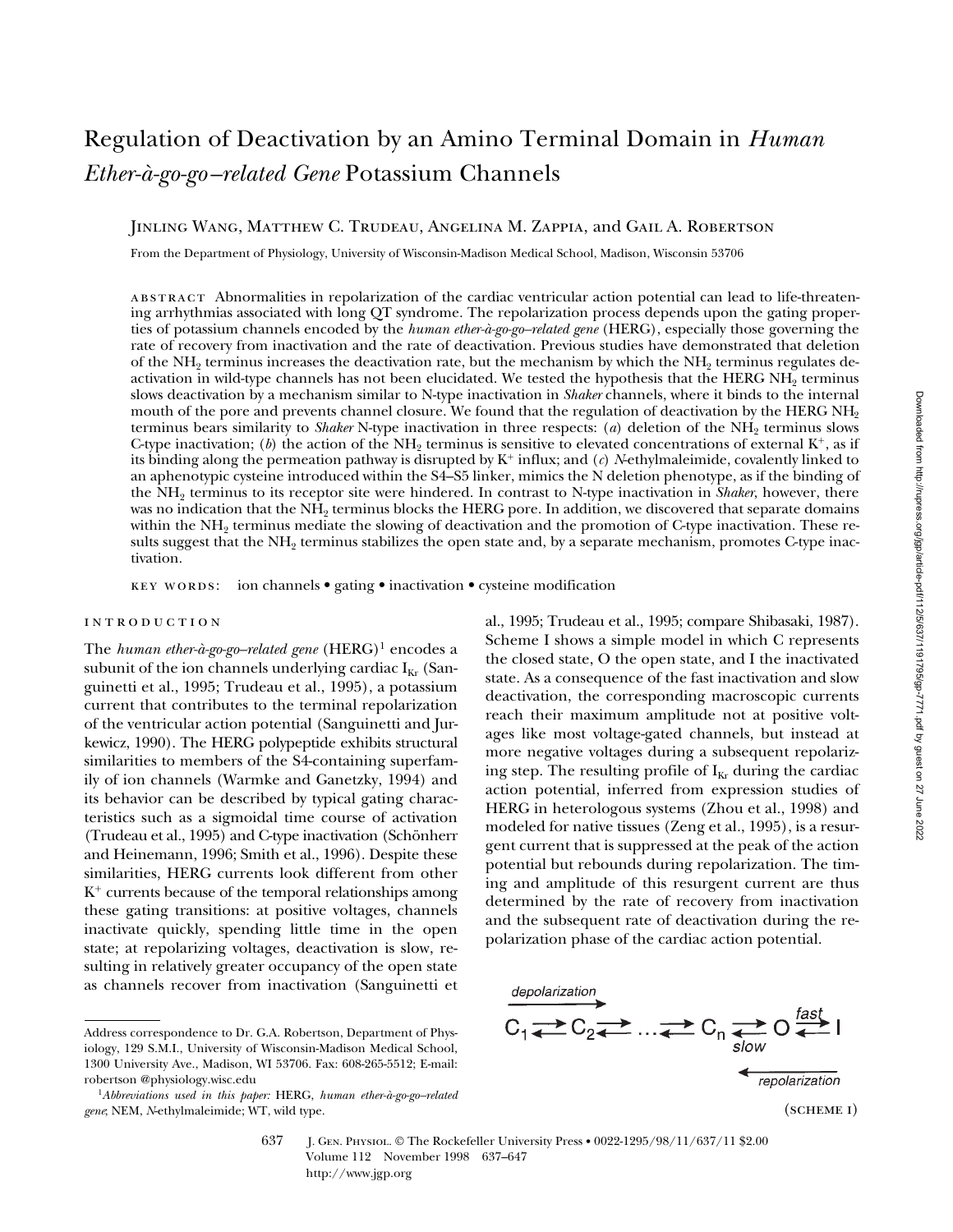# Regulation of Deactivation by an Amino Terminal Domain in *Human Ether-à-go-go–related Gene* Potassium Channels

Jinling Wang, Matthew C. Trudeau, Angelina M. Zappia, and Gail A. Robertson

From the Department of Physiology, University of Wisconsin-Madison Medical School, Madison, Wisconsin 53706

abstract Abnormalities in repolarization of the cardiac ventricular action potential can lead to life-threatening arrhythmias associated with long QT syndrome. The repolarization process depends upon the gating properties of potassium channels encoded by the *human ether-à-go-go–related gene* (HERG), especially those governing the rate of recovery from inactivation and the rate of deactivation. Previous studies have demonstrated that deletion of the NH<sub>2</sub> terminus increases the deactivation rate, but the mechanism by which the NH<sub>2</sub> terminus regulates deactivation in wild-type channels has not been elucidated. We tested the hypothesis that the HERG NH<sub>2</sub> terminus slows deactivation by a mechanism similar to N-type inactivation in *Shaker* channels, where it binds to the internal mouth of the pore and prevents channel closure. We found that the regulation of deactivation by the HERG NH<sub>2</sub> terminus bears similarity to *Shaker* N-type inactivation in three respects: (*a*) deletion of the NH2 terminus slows C-type inactivation; (b) the action of the  $NH<sub>2</sub>$  terminus is sensitive to elevated concentrations of external K<sup>+</sup>, as if its binding along the permeation pathway is disrupted by  $K^+$  influx; and  $(c)$  *N*-ethylmaleimide, covalently linked to an aphenotypic cysteine introduced within the S4–S5 linker, mimics the N deletion phenotype, as if the binding of the NH2 terminus to its receptor site were hindered. In contrast to N-type inactivation in *Shaker*, however, there was no indication that the NH<sub>2</sub> terminus blocks the HERG pore. In addition, we discovered that separate domains within the NH<sub>2</sub> terminus mediate the slowing of deactivation and the promotion of C-type inactivation. These results suggest that the NH<sub>2</sub> terminus stabilizes the open state and, by a separate mechanism, promotes C-type inactivation.

key words: ion channels • gating • inactivation • cysteine modification

# introduction

The *human ether-à-go-go-related gene* (HERG)<sup>1</sup> encodes a subunit of the ion channels underlying cardiac  $I_{Kr}$  (Sanguinetti et al., 1995; Trudeau et al., 1995), a potassium current that contributes to the terminal repolarization of the ventricular action potential (Sanguinetti and Jurkewicz, 1990). The HERG polypeptide exhibits structural similarities to members of the S4-containing superfamily of ion channels (Warmke and Ganetzky, 1994) and its behavior can be described by typical gating characteristics such as a sigmoidal time course of activation (Trudeau et al., 1995) and C-type inactivation (Schönherr and Heinemann, 1996; Smith et al., 1996). Despite these similarities, HERG currents look different from other  $K^+$  currents because of the temporal relationships among these gating transitions: at positive voltages, channels inactivate quickly, spending little time in the open state; at repolarizing voltages, deactivation is slow, resulting in relatively greater occupancy of the open state as channels recover from inactivation (Sanguinetti et al., 1995; Trudeau et al., 1995; compare Shibasaki, 1987). Scheme I shows a simple model in which C represents the closed state, O the open state, and I the inactivated state. As a consequence of the fast inactivation and slow deactivation, the corresponding macroscopic currents reach their maximum amplitude not at positive voltages like most voltage-gated channels, but instead at more negative voltages during a subsequent repolarizing step. The resulting profile of  $I_{Kr}$  during the cardiac action potential, inferred from expression studies of HERG in heterologous systems (Zhou et al., 1998) and modeled for native tissues (Zeng et al., 1995), is a resurgent current that is suppressed at the peak of the action potential but rebounds during repolarization. The timing and amplitude of this resurgent current are thus determined by the rate of recovery from inactivation and the subsequent rate of deactivation during the repolarization phase of the cardiac action potential.



<sup>(</sup>scheme i)

Address correspondence to Dr. G.A. Robertson, Department of Physiology, 129 S.M.I., University of Wisconsin-Madison Medical School, 1300 University Ave., Madison, WI 53706. Fax: 608-265-5512; E-mail: robertson @physiology.wisc.edu

<sup>1</sup>*Abbreviations used in this paper:* HERG, *human ether-à-go-go–related gene*; NEM, *N*-ethylmaleimide; WT, wild type.

<sup>637</sup> J. Gen. Physiol. © The Rockefeller University Press • 0022-1295/98/11/637/11 \$2.00 Volume 112 November 1998 637–647 http://www.jgp.org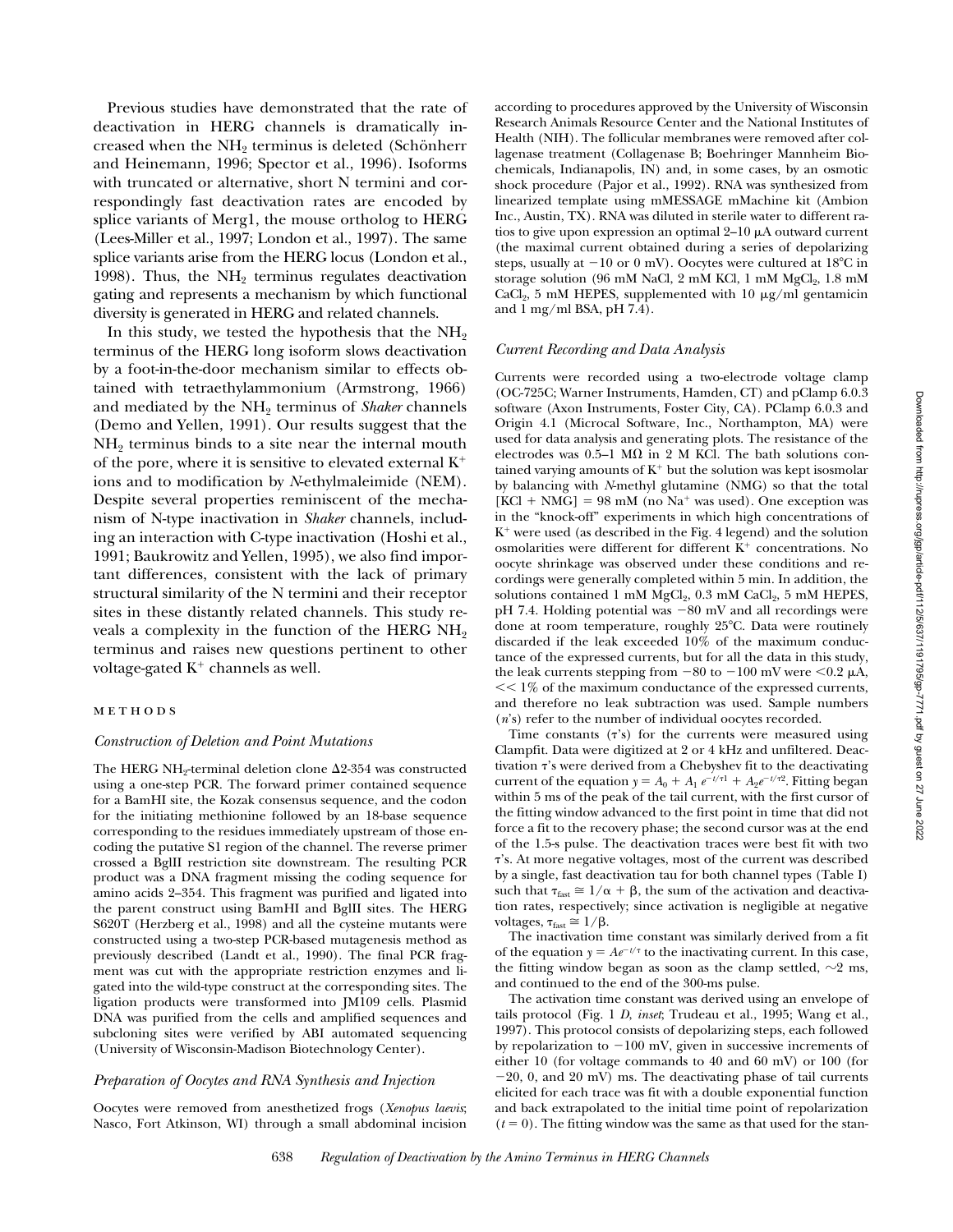Previous studies have demonstrated that the rate of deactivation in HERG channels is dramatically increased when the NH<sub>2</sub> terminus is deleted (Schönherr and Heinemann, 1996; Spector et al., 1996). Isoforms with truncated or alternative, short N termini and correspondingly fast deactivation rates are encoded by splice variants of Merg1, the mouse ortholog to HERG (Lees-Miller et al., 1997; London et al., 1997). The same splice variants arise from the HERG locus (London et al., 1998). Thus, the  $NH<sub>2</sub>$  terminus regulates deactivation gating and represents a mechanism by which functional diversity is generated in HERG and related channels.

In this study, we tested the hypothesis that the  $NH<sub>2</sub>$ terminus of the HERG long isoform slows deactivation by a foot-in-the-door mechanism similar to effects obtained with tetraethylammonium (Armstrong, 1966) and mediated by the NH<sub>2</sub> terminus of *Shaker* channels (Demo and Yellen, 1991). Our results suggest that the  $NH<sub>2</sub>$  terminus binds to a site near the internal mouth of the pore, where it is sensitive to elevated external  $K^+$ ions and to modification by *N*-ethylmaleimide (NEM). Despite several properties reminiscent of the mechanism of N-type inactivation in *Shaker* channels, including an interaction with C-type inactivation (Hoshi et al., 1991; Baukrowitz and Yellen, 1995), we also find important differences, consistent with the lack of primary structural similarity of the N termini and their receptor sites in these distantly related channels. This study reveals a complexity in the function of the HERG  $NH<sub>2</sub>$ terminus and raises new questions pertinent to other voltage-gated  $K^+$  channels as well.

# methods

#### *Construction of Deletion and Point Mutations*

The HERG NH<sub>2</sub>-terminal deletion clone  $\Delta$ 2-354 was constructed using a one-step PCR. The forward primer contained sequence for a BamHI site, the Kozak consensus sequence, and the codon for the initiating methionine followed by an 18-base sequence corresponding to the residues immediately upstream of those encoding the putative S1 region of the channel. The reverse primer crossed a BglII restriction site downstream. The resulting PCR product was a DNA fragment missing the coding sequence for amino acids 2–354. This fragment was purified and ligated into the parent construct using BamHI and BglII sites. The HERG S620T (Herzberg et al., 1998) and all the cysteine mutants were constructed using a two-step PCR-based mutagenesis method as previously described (Landt et al., 1990). The final PCR fragment was cut with the appropriate restriction enzymes and ligated into the wild-type construct at the corresponding sites. The ligation products were transformed into JM109 cells. Plasmid DNA was purified from the cells and amplified sequences and subcloning sites were verified by ABI automated sequencing (University of Wisconsin-Madison Biotechnology Center).

#### *Preparation of Oocytes and RNA Synthesis and Injection*

Oocytes were removed from anesthetized frogs (*Xenopus laevis*; Nasco, Fort Atkinson, WI) through a small abdominal incision according to procedures approved by the University of Wisconsin Research Animals Resource Center and the National Institutes of Health (NIH). The follicular membranes were removed after collagenase treatment (Collagenase B; Boehringer Mannheim Biochemicals, Indianapolis, IN) and, in some cases, by an osmotic shock procedure (Pajor et al., 1992). RNA was synthesized from linearized template using mMESSAGE mMachine kit (Ambion Inc., Austin, TX). RNA was diluted in sterile water to different ratios to give upon expression an optimal  $2-10 \mu A$  outward current (the maximal current obtained during a series of depolarizing steps, usually at  $-10$  or 0 mV). Oocytes were cultured at  $18^{\circ}$ C in storage solution (96 mM NaCl, 2 mM KCl, 1 mM  $MgCl<sub>2</sub>$ , 1.8 mM CaCl<sub>2</sub>, 5 mM HEPES, supplemented with 10  $\mu$ g/ml gentamicin and 1 mg/ml BSA, pH 7.4).

#### *Current Recording and Data Analysis*

Currents were recorded using a two-electrode voltage clamp (OC-725C; Warner Instruments, Hamden, CT) and pClamp 6.0.3 software (Axon Instruments, Foster City, CA). PClamp 6.0.3 and Origin 4.1 (Microcal Software, Inc., Northampton, MA) were used for data analysis and generating plots. The resistance of the electrodes was 0.5–1 M $\Omega$  in 2 M KCl. The bath solutions contained varying amounts of  $K^+$  but the solution was kept isosmolar by balancing with *N*-methyl glutamine (NMG) so that the total  $[KCl + NMG] = 98$  mM (no Na<sup>+</sup> was used). One exception was in the "knock-off" experiments in which high concentrations of  $K^+$  were used (as described in the Fig. 4 legend) and the solution osmolarities were different for different  $K^+$  concentrations. No oocyte shrinkage was observed under these conditions and recordings were generally completed within 5 min. In addition, the solutions contained 1 mM  $MgCl<sub>2</sub>$ , 0.3 mM  $CaCl<sub>2</sub>$ , 5 mM HEPES,  $pH$  7.4. Holding potential was  $-80$  mV and all recordings were done at room temperature, roughly  $25^{\circ}$ C. Data were routinely discarded if the leak exceeded 10% of the maximum conductance of the expressed currents, but for all the data in this study, the leak currents stepping from  $-80$  to  $-100$  mV were  $< 0.2 \mu$ A,  $<< 1\%$  of the maximum conductance of the expressed currents, and therefore no leak subtraction was used. Sample numbers (*n*'s) refer to the number of individual oocytes recorded.

Time constants  $(\tau's)$  for the currents were measured using Clampfit. Data were digitized at 2 or 4 kHz and unfiltered. Deactivation  $\tau$ 's were derived from a Chebyshev fit to the deactivating current of the equation  $y = A_0 + A_1 e^{-t/\tau} + A_2 e^{-t/\tau}$ ? Fitting began within 5 ms of the peak of the tail current, with the first cursor of the fitting window advanced to the first point in time that did not force a fit to the recovery phase; the second cursor was at the end of the 1.5-s pulse. The deactivation traces were best fit with two t's. At more negative voltages, most of the current was described by a single, fast deactivation tau for both channel types (Table I) such that  $\tau_{\text{fast}} \approx 1/\alpha + \beta$ , the sum of the activation and deactivation rates, respectively; since activation is negligible at negative voltages,  $\tau_{fast} \approx 1/\beta$ .

The inactivation time constant was similarly derived from a fit of the equation  $y = Ae^{-t/\tau}$  to the inactivating current. In this case, the fitting window began as soon as the clamp settled,  $\sim$ 2 ms, and continued to the end of the 300-ms pulse.

The activation time constant was derived using an envelope of tails protocol (Fig. 1 *D*, *inset*; Trudeau et al., 1995; Wang et al., 1997). This protocol consists of depolarizing steps, each followed by repolarization to  $-100$  mV, given in successive increments of either 10 (for voltage commands to 40 and 60 mV) or 100 (for  $-20$ , 0, and  $20$  mV) ms. The deactivating phase of tail currents elicited for each trace was fit with a double exponential function and back extrapolated to the initial time point of repolarization  $(t = 0)$ . The fitting window was the same as that used for the stan-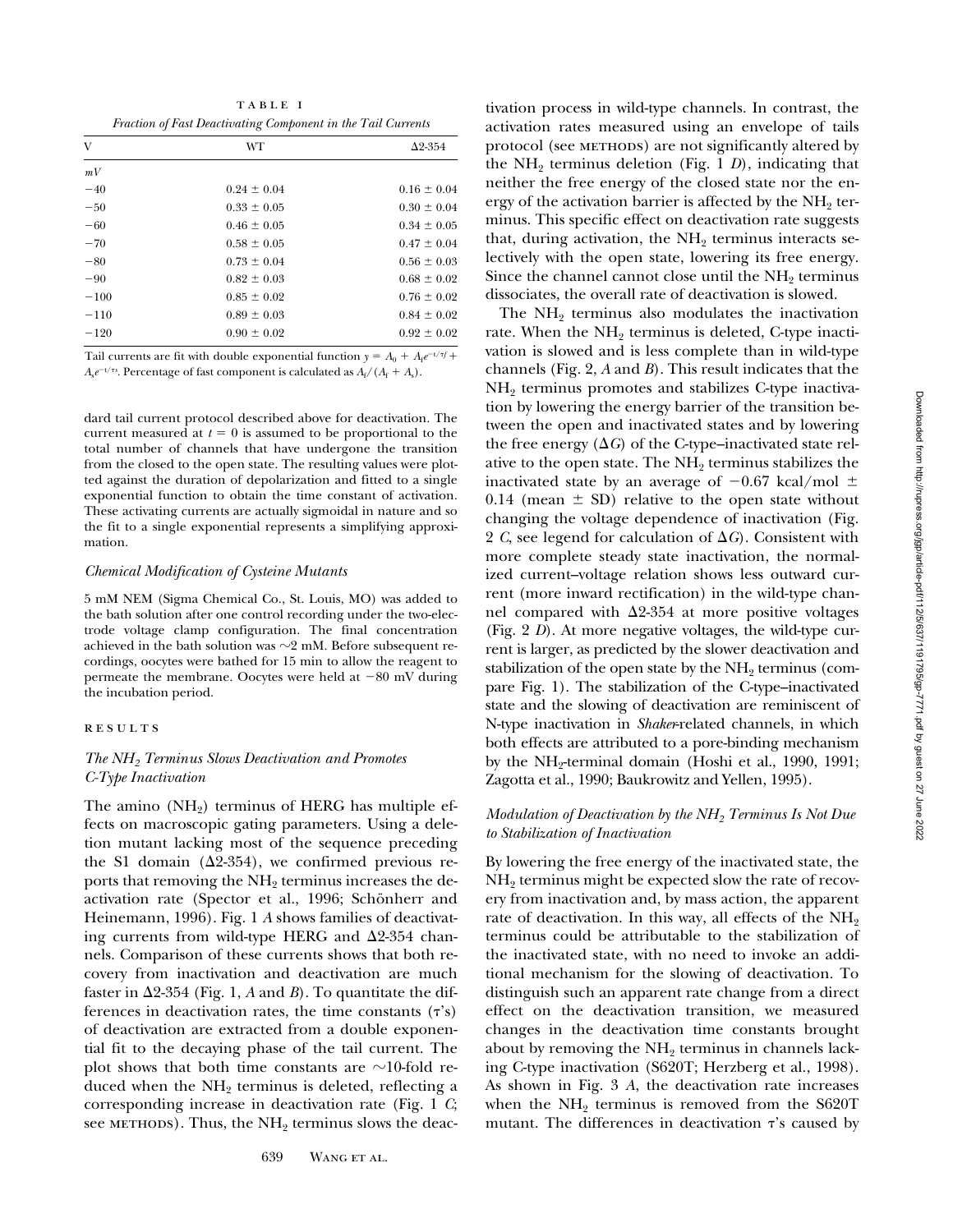TABLE I *Fraction of Fast Deactivating Component in the Tail Currents*

| V      | WT              | $\Delta$ 2-354  |
|--------|-----------------|-----------------|
| mV     |                 |                 |
| $-40$  | $0.24 \pm 0.04$ | $0.16 \pm 0.04$ |
| $-50$  | $0.33 \pm 0.05$ | $0.30 \pm 0.04$ |
| $-60$  | $0.46 \pm 0.05$ | $0.34 \pm 0.05$ |
| $-70$  | $0.58 \pm 0.05$ | $0.47 \pm 0.04$ |
| $-80$  | $0.73 \pm 0.04$ | $0.56 \pm 0.03$ |
| $-90$  | $0.82 \pm 0.03$ | $0.68 \pm 0.02$ |
| $-100$ | $0.85 \pm 0.02$ | $0.76 \pm 0.02$ |
| $-110$ | $0.89 \pm 0.03$ | $0.84 \pm 0.02$ |
| $-120$ | $0.90 \pm 0.02$ | $0.92 \pm 0.02$ |

Tail currents are fit with double exponential function  $y = A_0 + A_f e^{-t/\tau f}$  $A_s e^{-t/\tau s}$ . Percentage of fast component is calculated as  $A_f/(A_f + A_s)$ .

dard tail current protocol described above for deactivation. The current measured at  $t = 0$  is assumed to be proportional to the total number of channels that have undergone the transition from the closed to the open state. The resulting values were plotted against the duration of depolarization and fitted to a single exponential function to obtain the time constant of activation. These activating currents are actually sigmoidal in nature and so the fit to a single exponential represents a simplifying approximation.

#### *Chemical Modification of Cysteine Mutants*

5 mM NEM (Sigma Chemical Co., St. Louis, MO) was added to the bath solution after one control recording under the two-electrode voltage clamp configuration. The final concentration achieved in the bath solution was  ${\sim}2$  mM. Before subsequent recordings, oocytes were bathed for 15 min to allow the reagent to permeate the membrane. Oocytes were held at  $-80$  mV during the incubation period.

# results

## *The NH2 Terminus Slows Deactivation and Promotes C-Type Inactivation*

The amino  $(NH<sub>2</sub>)$  terminus of HERG has multiple effects on macroscopic gating parameters. Using a deletion mutant lacking most of the sequence preceding the S1 domain ( $\Delta$ 2-354), we confirmed previous reports that removing the  $NH<sub>2</sub>$  terminus increases the deactivation rate (Spector et al., 1996; Schönherr and Heinemann, 1996). Fig. 1 *A* shows families of deactivating currents from wild-type HERG and  $\Delta$ 2-354 channels. Comparison of these currents shows that both recovery from inactivation and deactivation are much faster in  $\Delta$ 2-354 (Fig. 1, *A* and *B*). To quantitate the differences in deactivation rates, the time constants  $(\tau's)$ of deactivation are extracted from a double exponential fit to the decaying phase of the tail current. The plot shows that both time constants are  $\sim$ 10-fold reduced when the  $NH<sub>2</sub>$  terminus is deleted, reflecting a corresponding increase in deactivation rate (Fig. 1 *C*; see METHODS). Thus, the  $NH<sub>2</sub>$  terminus slows the deac-

tivation process in wild-type channels. In contrast, the activation rates measured using an envelope of tails protocol (see METHODS) are not significantly altered by the  $NH_2$  terminus deletion (Fig. 1 *D*), indicating that neither the free energy of the closed state nor the energy of the activation barrier is affected by the  $NH_2$  terminus. This specific effect on deactivation rate suggests that, during activation, the  $NH<sub>2</sub>$  terminus interacts selectively with the open state, lowering its free energy. Since the channel cannot close until the  $NH<sub>2</sub>$  terminus dissociates, the overall rate of deactivation is slowed.

The  $NH<sub>2</sub>$  terminus also modulates the inactivation rate. When the  $NH<sub>2</sub>$  terminus is deleted, C-type inactivation is slowed and is less complete than in wild-type channels (Fig. 2, *A* and *B*). This result indicates that the  $NH<sub>2</sub>$  terminus promotes and stabilizes C-type inactivation by lowering the energy barrier of the transition between the open and inactivated states and by lowering the free energy  $(\Delta G)$  of the C-type–inactivated state relative to the open state. The  $NH<sub>2</sub>$  terminus stabilizes the inactivated state by an average of  $-0.67$  kcal/mol  $\pm$ 0.14 (mean  $\pm$  SD) relative to the open state without changing the voltage dependence of inactivation (Fig. 2 *C*, see legend for calculation of  $\Delta G$ ). Consistent with more complete steady state inactivation, the normalized current–voltage relation shows less outward current (more inward rectification) in the wild-type channel compared with  $\Delta 2$ -354 at more positive voltages (Fig. 2 *D*). At more negative voltages, the wild-type current is larger, as predicted by the slower deactivation and stabilization of the open state by the  $NH<sub>2</sub>$  terminus (compare Fig. 1). The stabilization of the C-type–inactivated state and the slowing of deactivation are reminiscent of N-type inactivation in *Shaker*-related channels, in which both effects are attributed to a pore-binding mechanism by the  $NH_2$ -terminal domain (Hoshi et al., 1990, 1991; Zagotta et al., 1990; Baukrowitz and Yellen, 1995).

#### *Modulation of Deactivation by the NH<sub>2</sub> Terminus Is Not Due to Stabilization of Inactivation*

By lowering the free energy of the inactivated state, the  $NH<sub>2</sub>$  terminus might be expected slow the rate of recovery from inactivation and, by mass action, the apparent rate of deactivation. In this way, all effects of the  $NH<sub>2</sub>$ terminus could be attributable to the stabilization of the inactivated state, with no need to invoke an additional mechanism for the slowing of deactivation. To distinguish such an apparent rate change from a direct effect on the deactivation transition, we measured changes in the deactivation time constants brought about by removing the  $NH<sub>2</sub>$  terminus in channels lacking C-type inactivation (S620T; Herzberg et al., 1998). As shown in Fig. 3 *A*, the deactivation rate increases when the  $NH_2$  terminus is removed from the S620T mutant. The differences in deactivation  $\tau$ 's caused by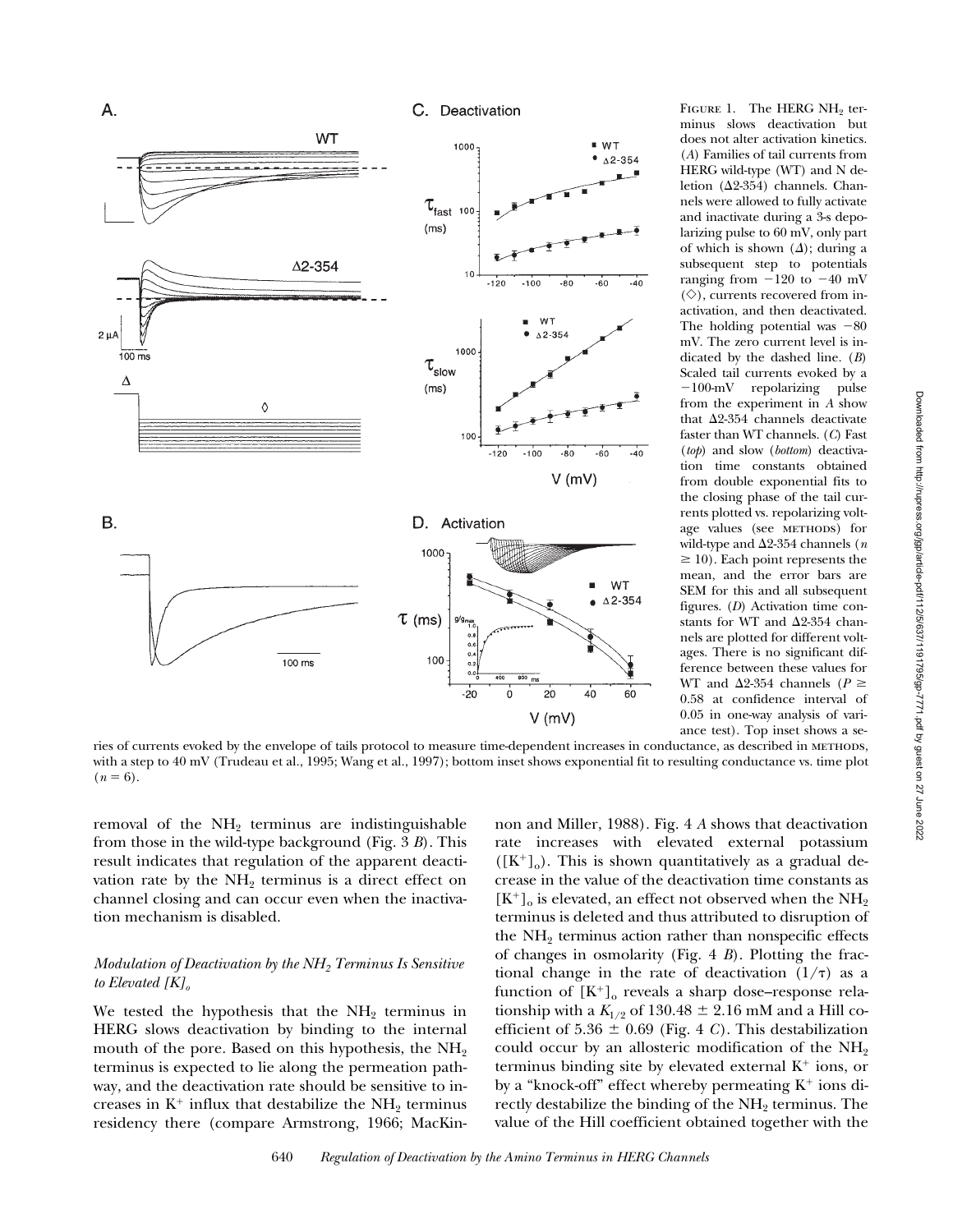

FIGURE 1. The HERG  $NH<sub>2</sub>$  terminus slows deactivation but does not alter activation kinetics. (*A*) Families of tail currents from HERG wild-type (WT) and N deletion ( $\Delta$ 2-354) channels. Channels were allowed to fully activate and inactivate during a 3-s depolarizing pulse to 60 mV, only part of which is shown  $(\Delta)$ ; during a subsequent step to potentials ranging from  $-120$  to  $-40$  mV  $(\diamondsuit)$ , currents recovered from inactivation, and then deactivated. The holding potential was  $-80$ mV. The zero current level is indicated by the dashed line. (*B*) Scaled tail currents evoked by a  $-100$ -mV repolarizing pulse from the experiment in *A* show that  $\Delta 2$ -354 channels deactivate faster than WT channels. (*C*) Fast (*top*) and slow (*bottom*) deactivation time constants obtained from double exponential fits to the closing phase of the tail currents plotted vs. repolarizing voltage values (see METHODS) for wild-type and  $\Delta$ 2-354 channels (*n*)  $\geq 10$ ). Each point represents the mean, and the error bars are SEM for this and all subsequent figures. (*D*) Activation time constants for WT and  $\Delta 2$ -354 channels are plotted for different voltages. There is no significant difference between these values for WT and  $\Delta 2$ -354 channels (*P*  $\geq$ 0.58 at confidence interval of 0.05 in one-way analysis of variance test). Top inset shows a se-

ries of currents evoked by the envelope of tails protocol to measure time-dependent increases in conductance, as described in methods, with a step to 40 mV (Trudeau et al., 1995; Wang et al., 1997); bottom inset shows exponential fit to resulting conductance vs. time plot  $(n = 6)$ .

removal of the  $NH<sub>2</sub>$  terminus are indistinguishable from those in the wild-type background (Fig. 3 *B*). This result indicates that regulation of the apparent deactivation rate by the  $NH<sub>2</sub>$  terminus is a direct effect on channel closing and can occur even when the inactivation mechanism is disabled.

Α.

## *Modulation of Deactivation by the NH2 Terminus Is Sensitive*  to Elevated [K]<sub>o</sub>

We tested the hypothesis that the  $NH<sub>2</sub>$  terminus in HERG slows deactivation by binding to the internal mouth of the pore. Based on this hypothesis, the  $NH<sub>2</sub>$ terminus is expected to lie along the permeation pathway, and the deactivation rate should be sensitive to increases in  $K^+$  influx that destabilize the NH<sub>2</sub> terminus residency there (compare Armstrong, 1966; MacKinnon and Miller, 1988). Fig. 4 *A* shows that deactivation rate increases with elevated external potassium  $([K^+]_0)$ . This is shown quantitatively as a gradual decrease in the value of the deactivation time constants as  $[K^+]$ <sub>o</sub> is elevated, an effect not observed when the NH<sub>2</sub> terminus is deleted and thus attributed to disruption of the  $NH<sub>2</sub>$  terminus action rather than nonspecific effects of changes in osmolarity (Fig. 4 *B*). Plotting the fractional change in the rate of deactivation  $(1/\tau)$  as a function of  $[K^+]_0$  reveals a sharp dose–response relationship with a  $K_{1/2}$  of 130.48  $\pm$  2.16 mM and a Hill coefficient of  $5.36 \pm 0.69$  (Fig. 4 *C*). This destabilization could occur by an allosteric modification of the  $NH<sub>2</sub>$ terminus binding site by elevated external  $K^+$  ions, or by a "knock-off" effect whereby permeating  $K^+$  ions directly destabilize the binding of the NH<sub>2</sub> terminus. The value of the Hill coefficient obtained together with the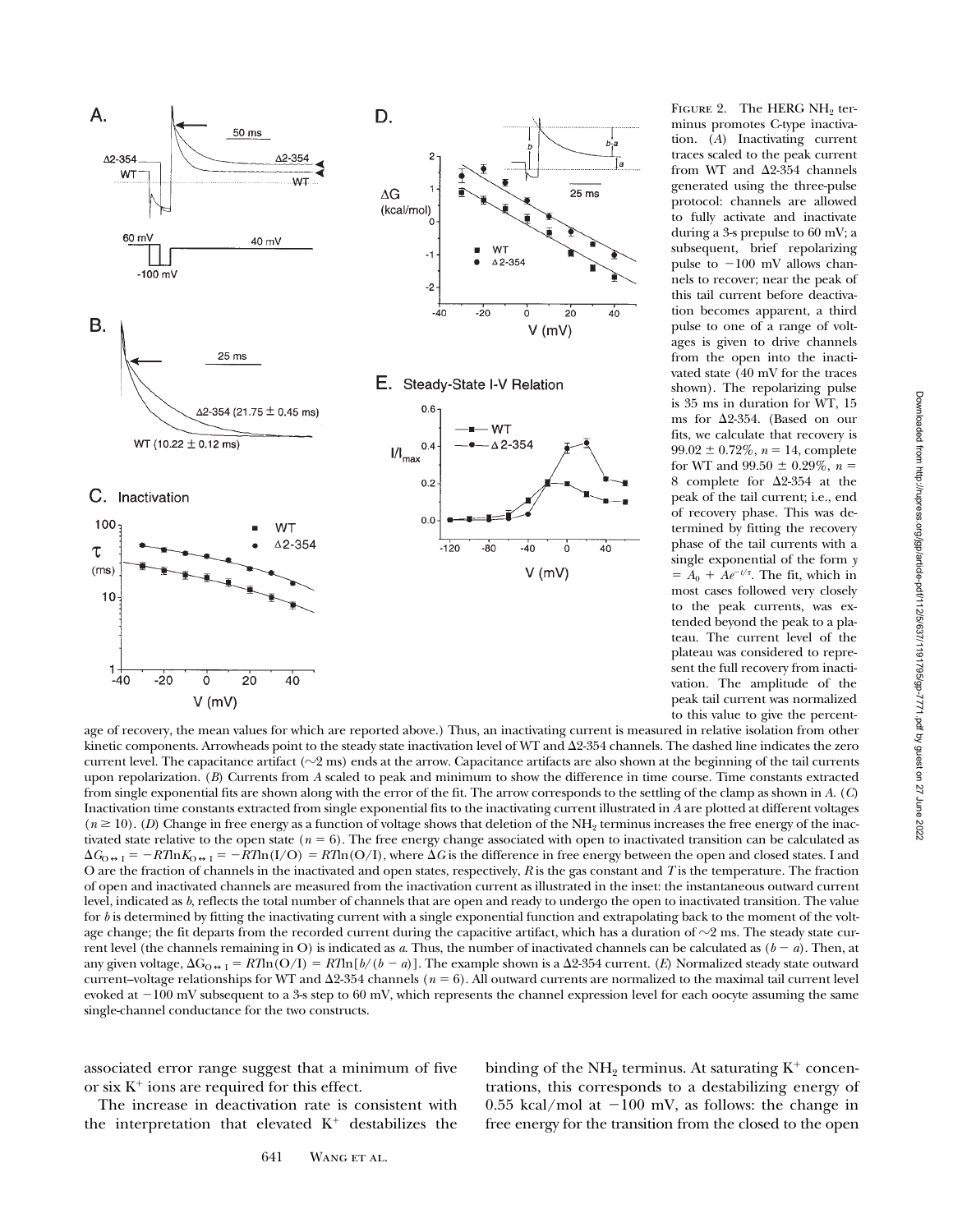

FIGURE 2. The HERG  $NH<sub>2</sub>$  terminus promotes C-type inactivation. (*A*) Inactivating current traces scaled to the peak current from WT and  $\Delta 2$ -354 channels generated using the three-pulse protocol: channels are allowed to fully activate and inactivate during a 3-s prepulse to 60 mV; a subsequent, brief repolarizing pulse to  $-100$  mV allows channels to recover; near the peak of this tail current before deactivation becomes apparent, a third pulse to one of a range of voltages is given to drive channels from the open into the inactivated state (40 mV for the traces shown). The repolarizing pulse is 35 ms in duration for WT, 15 ms for  $\Delta 2$ -354. (Based on our fits, we calculate that recovery is  $99.02 \pm 0.72\%$ ,  $n = 14$ , complete for WT and  $99.50 \pm 0.29\%$ ,  $n =$ 8 complete for  $\Delta 2$ -354 at the peak of the tail current; i.e., end of recovery phase. This was determined by fitting the recovery phase of the tail currents with a single exponential of the form *y*  $= A_0 + Ae^{-t/\tau}$ . The fit, which in most cases followed very closely to the peak currents, was extended beyond the peak to a plateau. The current level of the plateau was considered to represent the full recovery from inactivation. The amplitude of the peak tail current was normalized to this value to give the percent-

age of recovery, the mean values for which are reported above.) Thus, an inactivating current is measured in relative isolation from other kinetic components. Arrowheads point to the steady state inactivation level of WT and  $\Delta$ 2-354 channels. The dashed line indicates the zero current level. The capacitance artifact  $(\sim 2 \text{ ms})$  ends at the arrow. Capacitance artifacts are also shown at the beginning of the tail currents upon repolarization. (*B*) Currents from *A* scaled to peak and minimum to show the difference in time course. Time constants extracted from single exponential fits are shown along with the error of the fit. The arrow corresponds to the settling of the clamp as shown in *A*. (*C*) Inactivation time constants extracted from single exponential fits to the inactivating current illustrated in *A* are plotted at different voltages  $(n \ge 10)$ . (*D*) Change in free energy as a function of voltage shows that deletion of the NH<sub>2</sub> terminus increases the free energy of the inactivated state relative to the open state ( $n = 6$ ). The free energy change associated with open to inactivated transition can be calculated as  $\Delta G_{\text{O}\leftrightarrow\text{I}} = -RT\text{ln}(I/O) = RT\text{ln}(O/I)$ , where  $\Delta G$  is the difference in free energy between the open and closed states. I and O are the fraction of channels in the inactivated and open states, respectively, *R* is the gas constant and *T* is the temperature. The fraction of open and inactivated channels are measured from the inactivation current as illustrated in the inset: the instantaneous outward current level, indicated as *b*, reflects the total number of channels that are open and ready to undergo the open to inactivated transition. The value for *b* is determined by fitting the inactivating current with a single exponential function and extrapolating back to the moment of the voltage change; the fit departs from the recorded current during the capacitive artifact, which has a duration of  $\sim$ 2 ms. The steady state current level (the channels remaining in O) is indicated as *a*. Thus, the number of inactivated channels can be calculated as  $(b - a)$ . Then, at any given voltage,  $\Delta G_{O \leftrightarrow I} = R T ln (O/I) = R T ln [b/(b - a)]$ . The example shown is a  $\Delta 2$ -354 current. (*E*) Normalized steady state outward current–voltage relationships for WT and  $\Delta 2-354$  channels ( $n = 6$ ). All outward currents are normalized to the maximal tail current level evoked at  $-100$  mV subsequent to a 3-s step to 60 mV, which represents the channel expression level for each oocyte assuming the same single-channel conductance for the two constructs.

associated error range suggest that a minimum of five or six  $K^+$  ions are required for this effect.

The increase in deactivation rate is consistent with the interpretation that elevated  $K^+$  destabilizes the binding of the  $NH<sub>2</sub>$  terminus. At saturating  $K<sup>+</sup>$  concentrations, this corresponds to a destabilizing energy of 0.55 kcal/mol at  $-100$  mV, as follows: the change in free energy for the transition from the closed to the open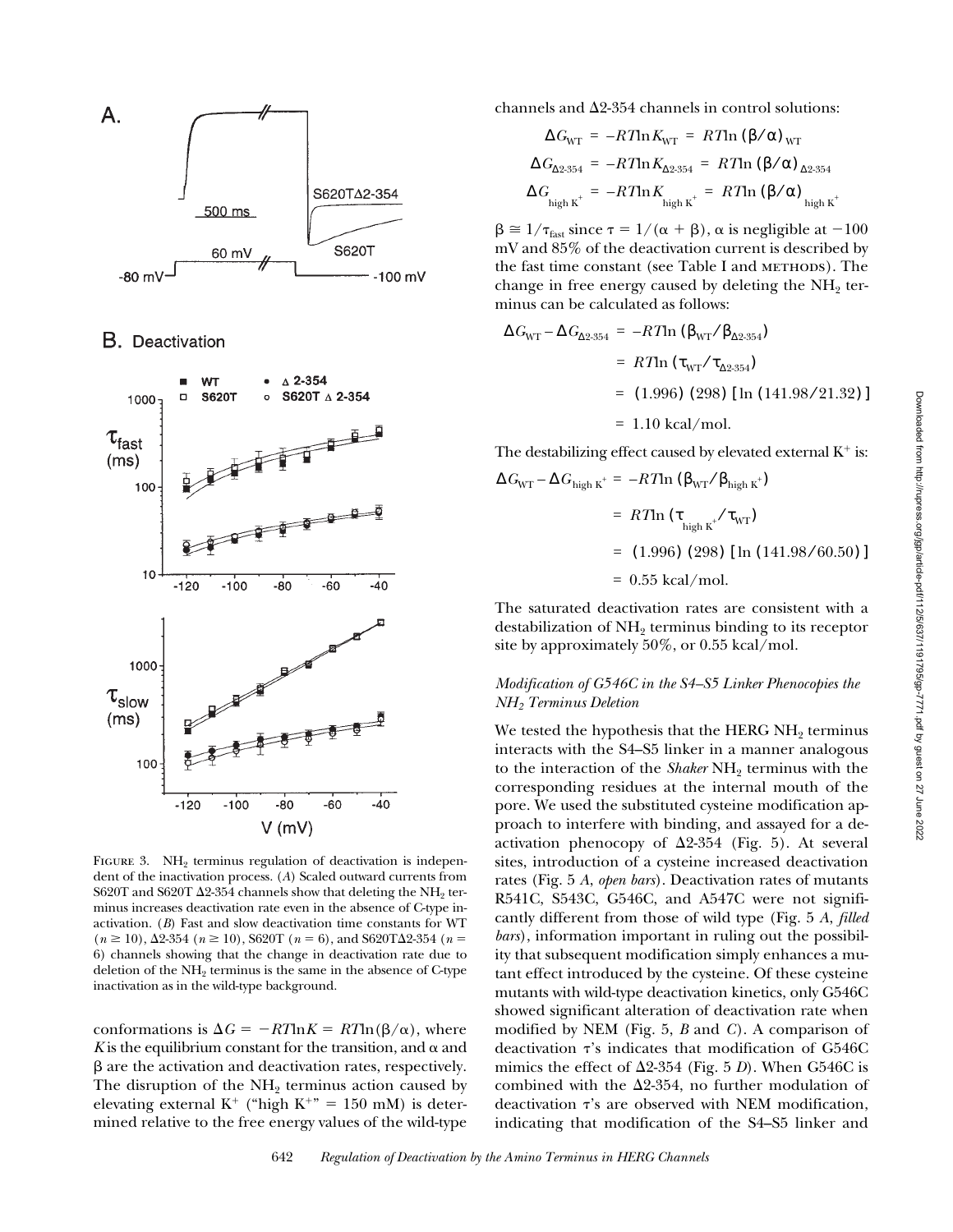

**B.** Deactivation



FIGURE 3. NH<sub>2</sub> terminus regulation of deactivation is independent of the inactivation process. (*A*) Scaled outward currents from S620T and S620T  $\Delta$ 2-354 channels show that deleting the NH<sub>2</sub> terminus increases deactivation rate even in the absence of C-type inactivation. (*B*) Fast and slow deactivation time constants for WT  $(n \ge 10)$ ,  $\Delta 2\text{-}354$   $(n \ge 10)$ ,  $S620T$   $(n = 6)$ , and  $S620T\Delta 2\text{-}354$   $(n = 6)$ 6) channels showing that the change in deactivation rate due to deletion of the  $NH<sub>2</sub>$  terminus is the same in the absence of C-type inactivation as in the wild-type background.

conformations is  $\Delta G = -RT \ln K = RT \ln(\beta/\alpha)$ , where *K* is the equilibrium constant for the transition, and  $\alpha$  and  $\beta$  are the activation and deactivation rates, respectively. The disruption of the  $NH<sub>2</sub>$  terminus action caused by elevating external K<sup>+</sup> ("high K<sup>+</sup>" = 150 mM) is determined relative to the free energy values of the wild-type channels and  $\Delta$ 2-354 channels in control solutions:

$$
\Delta G_{\text{WT}} = -RT \ln K_{\text{WT}} = RT \ln (\beta/\alpha)_{\text{WT}}
$$

$$
\Delta G_{\Delta 2 \cdot 354} = -RT \ln K_{\Delta 2 \cdot 354} = RT \ln (\beta/\alpha)_{\Delta 2 \cdot 354}
$$

$$
\Delta G_{\text{high K}^+} = -RT \ln K_{\text{high K}^+} = RT \ln (\beta/\alpha)_{\text{high K}^+}
$$

 $\beta \approx 1/\tau_{\text{fast}}$  since  $\tau = 1/(\alpha + \beta)$ ,  $\alpha$  is negligible at  $-100$ mV and 85% of the deactivation current is described by the fast time constant (see Table I and METHODS). The change in free energy caused by deleting the  $NH<sub>2</sub>$  terminus can be calculated as follows:

$$
\Delta G_{\text{WT}} - \Delta G_{\Delta 2 \cdot 354} = -RT \text{ln} \left( \beta_{\text{WT}} / \beta_{\Delta 2 \cdot 354} \right)
$$
  
=  $RT \text{ln} \left( \tau_{\text{WT}} / \tau_{\Delta 2 \cdot 354} \right)$   
= (1.996) (298) [ln (141.98/21.32)]  
= 1.10 kcal/mol.

The destabilizing effect caused by elevated external  $K^+$  is:

$$
\Delta G_{\text{WT}} - \Delta G_{\text{high K}^+} = -RT \ln \left( \beta_{\text{WT}} / \beta_{\text{high K}^+} \right)
$$

$$
= RT \ln \left( \tau_{\text{high K}^+} / \tau_{\text{WT}} \right)
$$

 $= (1.996) (298)$  [ln  $(141.98/60.50)$ ]

 $= 0.55$  kcal/mol.

The saturated deactivation rates are consistent with a destabilization of  $NH<sub>2</sub>$  terminus binding to its receptor site by approximately 50%, or 0.55 kcal/mol.

## *Modification of G546C in the S4–S5 Linker Phenocopies the NH2 Terminus Deletion*

We tested the hypothesis that the HERG  $NH<sub>2</sub>$  terminus interacts with the S4–S5 linker in a manner analogous to the interaction of the *Shaker* NH<sub>2</sub> terminus with the corresponding residues at the internal mouth of the pore. We used the substituted cysteine modification approach to interfere with binding, and assayed for a deactivation phenocopy of  $\Delta 2$ -354 (Fig. 5). At several sites, introduction of a cysteine increased deactivation rates (Fig. 5 *A*, *open bars*). Deactivation rates of mutants R541C, S543C, G546C, and A547C were not significantly different from those of wild type (Fig. 5 *A*, *filled bars*), information important in ruling out the possibility that subsequent modification simply enhances a mutant effect introduced by the cysteine. Of these cysteine mutants with wild-type deactivation kinetics, only G546C showed significant alteration of deactivation rate when modified by NEM (Fig. 5, *B* and *C*). A comparison of deactivation  $\tau$ 's indicates that modification of G546C mimics the effect of  $\Delta 2$ -354 (Fig. 5 *D*). When G546C is combined with the  $\Delta$ 2-354, no further modulation of deactivation  $\tau$ 's are observed with NEM modification, indicating that modification of the S4–S5 linker and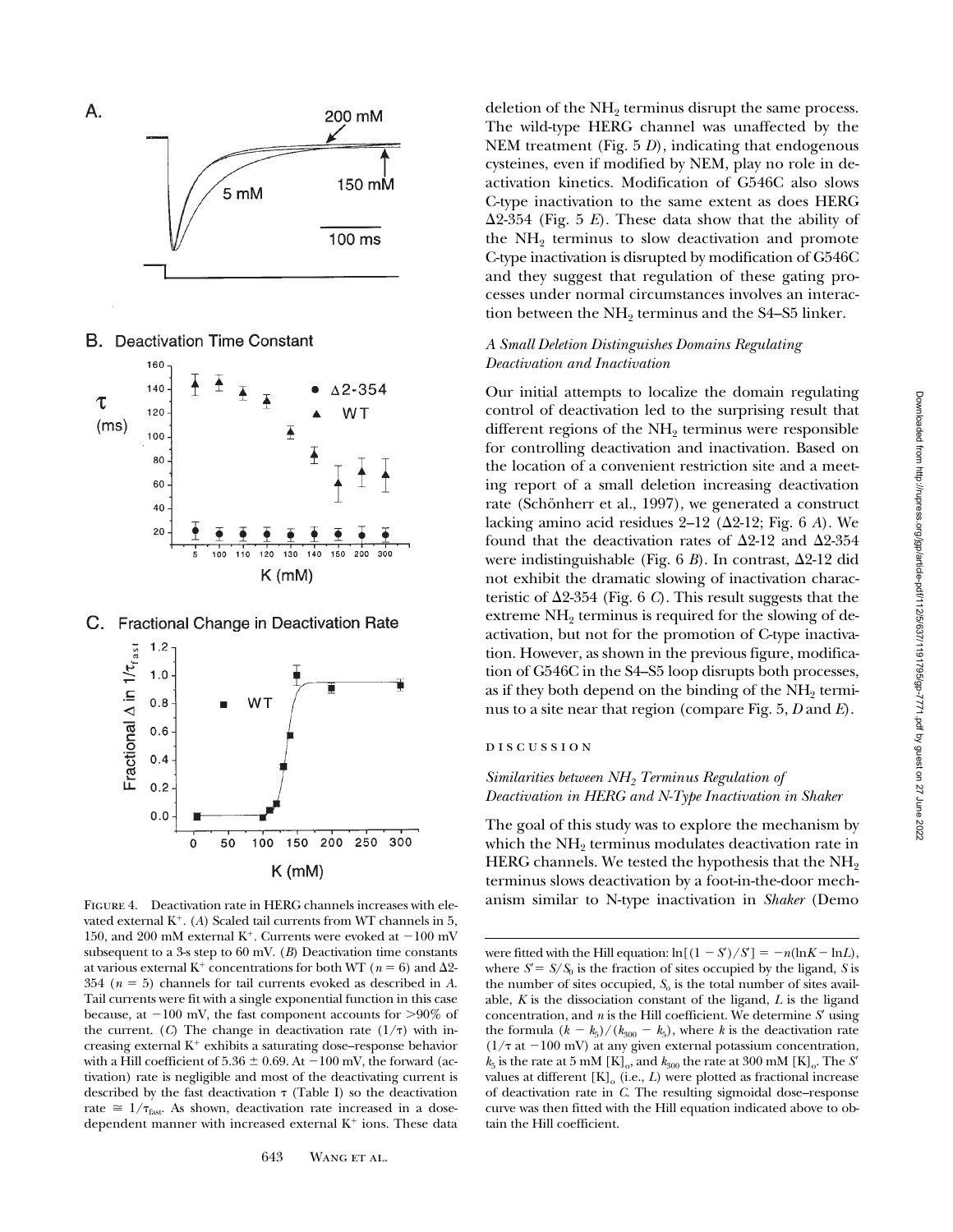

**B.** Deactivation Time Constant



C. Fractional Change in Deactivation Rate



vated external  $K^+$ . (*A*) Scaled tail currents from WT channels in 5, 150, and 200 mM external K<sup>+</sup>. Currents were evoked at  $-100$  mV subsequent to a 3-s step to 60 mV. (*B*) Deactivation time constants at various external K<sup>+</sup> concentrations for both WT ( $n = 6$ ) and  $\Delta 2$ -354 ( $n = 5$ ) channels for tail currents evoked as described in *A*. Tail currents were fit with a single exponential function in this case because, at  $-100$  mV, the fast component accounts for  $>90\%$  of the current. (*C*) The change in deactivation rate  $(1/\tau)$  with increasing external  $K^+$  exhibits a saturating dose–response behavior with a Hill coefficient of  $5.36 \pm 0.69$ . At  $-100$  mV, the forward (activation) rate is negligible and most of the deactivating current is described by the fast deactivation  $\tau$  (Table I) so the deactivation rate  $\approx 1/\tau_{\text{fast}}$ . As shown, deactivation rate increased in a dosedependent manner with increased external  $K^+$  ions. These data

deletion of the  $NH<sub>2</sub>$  terminus disrupt the same process. The wild-type HERG channel was unaffected by the NEM treatment (Fig. 5 *D*), indicating that endogenous cysteines, even if modified by NEM, play no role in deactivation kinetics. Modification of G546C also slows C-type inactivation to the same extent as does HERG  $\Delta$ 2-354 (Fig. 5 *E*). These data show that the ability of the  $NH<sub>2</sub>$  terminus to slow deactivation and promote C-type inactivation is disrupted by modification of G546C and they suggest that regulation of these gating processes under normal circumstances involves an interaction between the  $NH<sub>2</sub>$  terminus and the S4–S5 linker.

## *A Small Deletion Distinguishes Domains Regulating Deactivation and Inactivation*

Our initial attempts to localize the domain regulating control of deactivation led to the surprising result that different regions of the  $NH<sub>2</sub>$  terminus were responsible for controlling deactivation and inactivation. Based on the location of a convenient restriction site and a meeting report of a small deletion increasing deactivation rate (Schönherr et al., 1997), we generated a construct lacking amino acid residues  $2-12$  ( $\Delta$ 2-12; Fig. 6 *A*). We found that the deactivation rates of  $\Delta 2$ -12 and  $\Delta 2$ -354 were indistinguishable (Fig.  $6 B$ ). In contrast,  $\Delta 2$ -12 did not exhibit the dramatic slowing of inactivation characteristic of  $\Delta 2$ -354 (Fig. 6 *C*). This result suggests that the extreme NH<sub>2</sub> terminus is required for the slowing of deactivation, but not for the promotion of C-type inactivation. However, as shown in the previous figure, modification of G546C in the S4–S5 loop disrupts both processes, as if they both depend on the binding of the  $NH<sub>2</sub>$  terminus to a site near that region (compare Fig. 5, *D* and *E*).

# discussion

## *Similarities between NH2 Terminus Regulation of Deactivation in HERG and N-Type Inactivation in Shaker*

The goal of this study was to explore the mechanism by which the  $NH<sub>2</sub>$  terminus modulates deactivation rate in HERG channels. We tested the hypothesis that the NH<sub>2</sub> terminus slows deactivation by a foot-in-the-door mech-FIGURE 4. Deactivation rate in HERG channels increases with ele-<br>anism similar to N-type inactivation in Shaker (Demo

were fitted with the Hill equation:  $\ln[(1 - S)/S] = -n(\ln K - \ln L)$ , where  $S' = S/S<sub>0</sub>$  is the fraction of sites occupied by the ligand, *S* is the number of sites occupied,  $S<sub>o</sub>$  is the total number of sites available, *K* is the dissociation constant of the ligand, *L* is the ligand concentration, and  $n$  is the Hill coefficient. We determine  $S'$  using the formula  $(k - k_5)/(k_{300} - k_5)$ , where *k* is the deactivation rate  $(1/\tau \text{ at } -100 \text{ mV})$  at any given external potassium concentration,  $k_5$  is the rate at 5 mM  $[K]_0$ , and  $k_{300}$  the rate at 300 mM  $[K]_0$ . The *S'* values at different  $[K]_o$  (i.e.,  $L$ ) were plotted as fractional increase of deactivation rate in *C*. The resulting sigmoidal dose–response curve was then fitted with the Hill equation indicated above to obtain the Hill coefficient.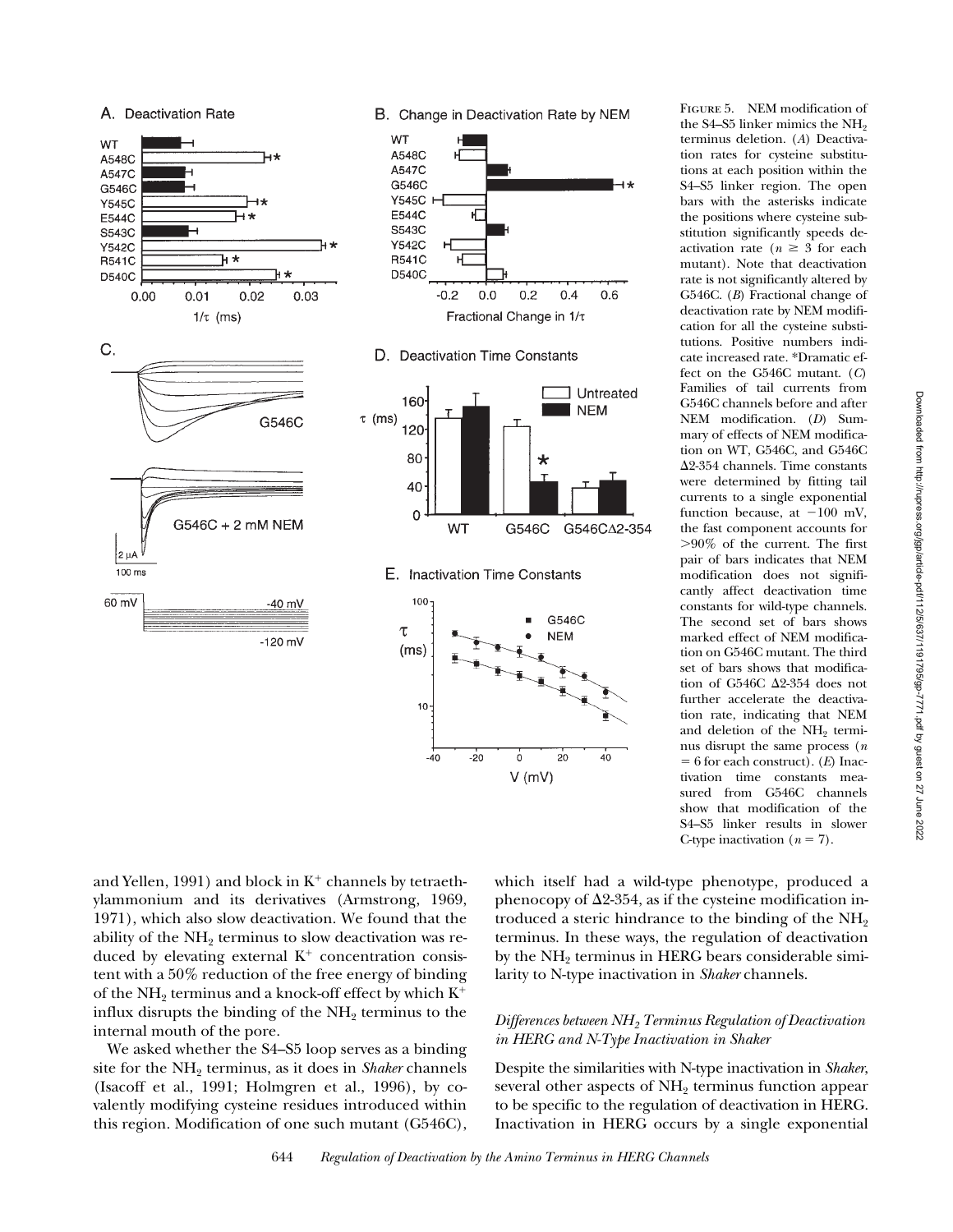





D. Deactivation Time Constants







FIGURE 5. NEM modification of the S4–S5 linker mimics the NH<sub>2</sub> terminus deletion. (*A*) Deactivation rates for cysteine substitutions at each position within the S4–S5 linker region. The open bars with the asterisks indicate the positions where cysteine substitution significantly speeds deactivation rate ( $n \geq 3$  for each mutant). Note that deactivation rate is not significantly altered by G546C. (*B*) Fractional change of deactivation rate by NEM modification for all the cysteine substitutions. Positive numbers indicate increased rate. \*Dramatic effect on the G546C mutant. (*C*) Families of tail currents from G546C channels before and after NEM modification. (*D*) Summary of effects of NEM modification on WT, G546C, and G546C  $\Delta$ 2-354 channels. Time constants were determined by fitting tail currents to a single exponential function because, at  $-100$  mV, the fast component accounts for .90% of the current. The first pair of bars indicates that NEM modification does not significantly affect deactivation time constants for wild-type channels. The second set of bars shows marked effect of NEM modification on G546C mutant. The third set of bars shows that modification of G546C  $\Delta$ 2-354 does not further accelerate the deactivation rate, indicating that NEM and deletion of the NH<sub>2</sub> terminus disrupt the same process (*n*  $= 6$  for each construct). (*E*) Inactivation time constants measured from G546C channels show that modification of the S4–S5 linker results in slower C-type inactivation  $(n = 7)$ .

and Yellen, 1991) and block in  $K^+$  channels by tetraethylammonium and its derivatives (Armstrong, 1969, 1971), which also slow deactivation. We found that the ability of the  $NH<sub>2</sub>$  terminus to slow deactivation was reduced by elevating external  $K^+$  concentration consistent with a 50% reduction of the free energy of binding of the NH<sub>2</sub> terminus and a knock-off effect by which  $K^+$ influx disrupts the binding of the  $NH<sub>2</sub>$  terminus to the internal mouth of the pore.

We asked whether the S4–S5 loop serves as a binding site for the NH<sub>2</sub> terminus, as it does in *Shaker* channels (Isacoff et al., 1991; Holmgren et al., 1996), by covalently modifying cysteine residues introduced within this region. Modification of one such mutant (G546C), which itself had a wild-type phenotype, produced a phenocopy of  $\Delta$ 2-354, as if the cysteine modification introduced a steric hindrance to the binding of the  $NH<sub>2</sub>$ terminus. In these ways, the regulation of deactivation by the  $NH<sub>2</sub>$  terminus in HERG bears considerable similarity to N-type inactivation in *Shaker* channels.

## *Differences between NH2 Terminus Regulation of Deactivation in HERG and N-Type Inactivation in Shaker*

Despite the similarities with N-type inactivation in *Shaker*, several other aspects of  $NH<sub>2</sub>$  terminus function appear to be specific to the regulation of deactivation in HERG. Inactivation in HERG occurs by a single exponential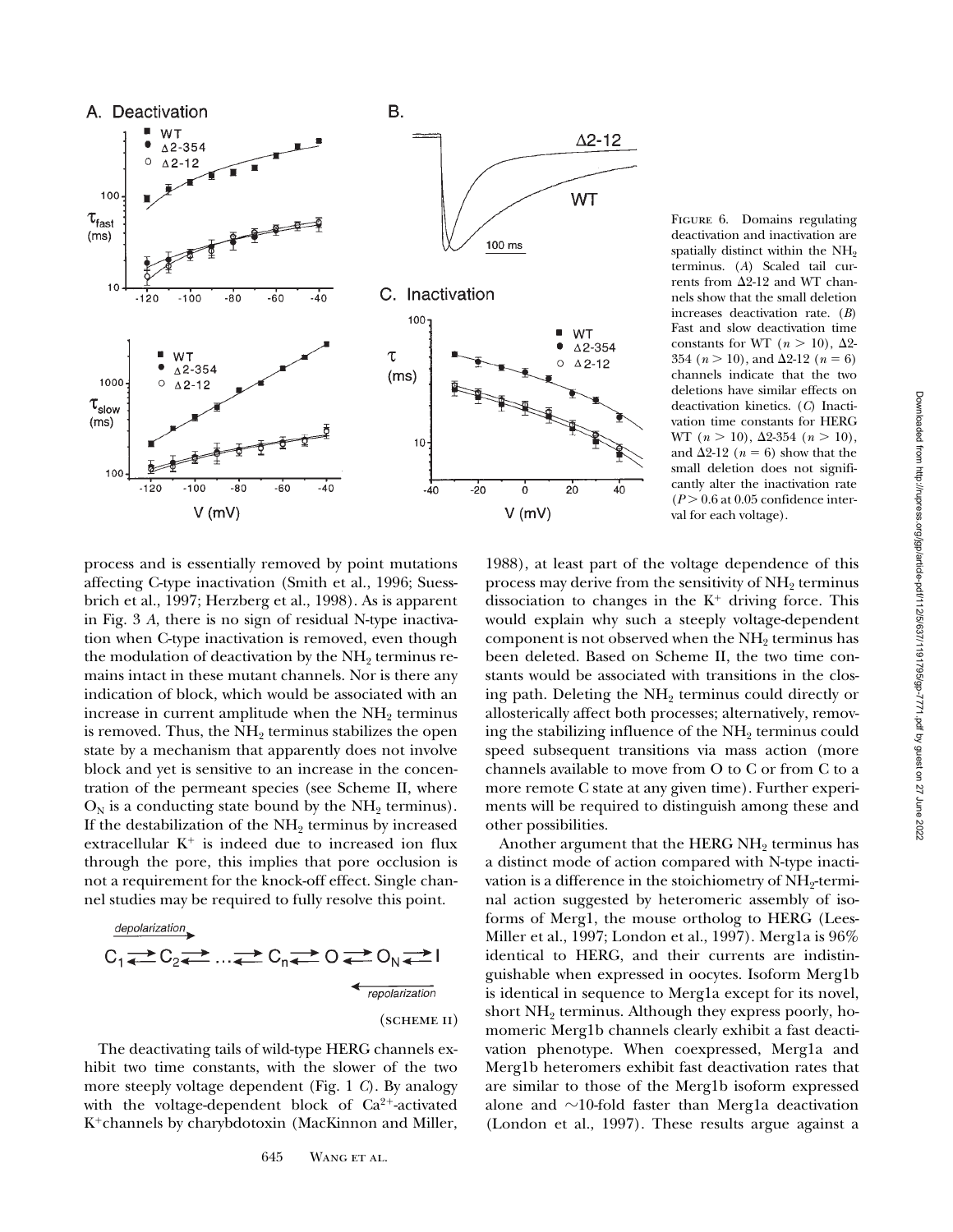

process and is essentially removed by point mutations affecting C-type inactivation (Smith et al., 1996; Suessbrich et al., 1997; Herzberg et al., 1998). As is apparent in Fig. 3 *A*, there is no sign of residual N-type inactivation when C-type inactivation is removed, even though the modulation of deactivation by the  $NH<sub>2</sub>$  terminus remains intact in these mutant channels. Nor is there any indication of block, which would be associated with an increase in current amplitude when the  $NH<sub>2</sub>$  terminus is removed. Thus, the  $NH<sub>2</sub>$  terminus stabilizes the open state by a mechanism that apparently does not involve block and yet is sensitive to an increase in the concentration of the permeant species (see Scheme II, where  $O_N$  is a conducting state bound by the NH<sub>2</sub> terminus). If the destabilization of the  $NH<sub>2</sub>$  terminus by increased extracellular  $K^+$  is indeed due to increased ion flux through the pore, this implies that pore occlusion is not a requirement for the knock-off effect. Single channel studies may be required to fully resolve this point.

$$
C_1 \longrightarrow C_2 \longrightarrow \dots \longrightarrow C_n \longrightarrow O \longrightarrow O_N \longrightarrow I
$$
\n
$$
\longrightarrow \dots \longrightarrow C_n \longrightarrow \dots \longrightarrow O_N \longrightarrow I
$$
\n
$$
\longrightarrow \dots \longrightarrow \dots \longrightarrow O_N \longrightarrow I
$$
\n
$$
\longrightarrow \dots \longrightarrow O_N \longrightarrow I
$$
\n
$$
\longrightarrow \dots \longrightarrow O_N \longrightarrow I
$$
\n
$$
\longrightarrow \dots \longrightarrow O_N \longrightarrow I
$$
\n
$$
\longrightarrow \dots \longrightarrow O_N \longrightarrow I
$$
\n
$$
\longrightarrow \dots \longrightarrow O_N \longrightarrow I
$$
\n
$$
\longrightarrow \dots \longrightarrow O_N \longrightarrow I
$$
\n
$$
\longrightarrow \dots \longrightarrow O_N \longrightarrow I
$$
\n
$$
\longrightarrow \dots \longrightarrow O_N \longrightarrow I
$$
\n
$$
\longrightarrow \dots \longrightarrow O_N \longrightarrow I
$$
\n
$$
\longrightarrow \dots \longrightarrow O_N \longrightarrow I
$$
\n
$$
\longrightarrow \dots \longrightarrow O_N \longrightarrow I
$$
\n
$$
\longrightarrow \dots \longrightarrow O_N \longrightarrow I
$$

The deactivating tails of wild-type HERG channels exhibit two time constants, with the slower of the two more steeply voltage dependent (Fig. 1 *C*). By analogy with the voltage-dependent block of  $Ca^{2+}$ -activated K<sup>+</sup>channels by charybdotoxin (MacKinnon and Miller, FIGURE 6. Domains regulating deactivation and inactivation are spatially distinct within the NH<sub>2</sub> terminus. (*A*) Scaled tail currents from  $\Delta 2$ -12 and WT channels show that the small deletion increases deactivation rate. (*B*) Fast and slow deactivation time constants for WT ( $n > 10$ ),  $\Delta 2$ -354 ( $n > 10$ ), and  $\Delta 2$ -12 ( $n = 6$ ) channels indicate that the two deletions have similar effects on deactivation kinetics. (*C*) Inactivation time constants for HERG WT (*n* > 10), Δ2-354 (*n* > 10), and  $\Delta 2$ -12 ( $n = 6$ ) show that the small deletion does not significantly alter the inactivation rate  $(P > 0.6$  at 0.05 confidence interval for each voltage).

1988), at least part of the voltage dependence of this process may derive from the sensitivity of NH<sub>2</sub> terminus dissociation to changes in the  $K^+$  driving force. This would explain why such a steeply voltage-dependent component is not observed when the NH<sub>2</sub> terminus has been deleted. Based on Scheme II, the two time constants would be associated with transitions in the closing path. Deleting the  $NH<sub>2</sub>$  terminus could directly or allosterically affect both processes; alternatively, removing the stabilizing influence of the  $NH<sub>2</sub>$  terminus could speed subsequent transitions via mass action (more channels available to move from O to C or from C to a more remote C state at any given time). Further experiments will be required to distinguish among these and other possibilities.

Another argument that the HERG  $NH<sub>2</sub>$  terminus has a distinct mode of action compared with N-type inactivation is a difference in the stoichiometry of NH<sub>2</sub>-terminal action suggested by heteromeric assembly of isoforms of Merg1, the mouse ortholog to HERG (Lees-Miller et al., 1997; London et al., 1997). Merg1a is 96% identical to HERG, and their currents are indistinguishable when expressed in oocytes. Isoform Merg1b is identical in sequence to Merg1a except for its novel, short NH<sub>2</sub> terminus. Although they express poorly, homomeric Merg1b channels clearly exhibit a fast deactivation phenotype. When coexpressed, Merg1a and Merg1b heteromers exhibit fast deactivation rates that are similar to those of the Merg1b isoform expressed alone and  $\sim$ 10-fold faster than Merg1a deactivation (London et al., 1997). These results argue against a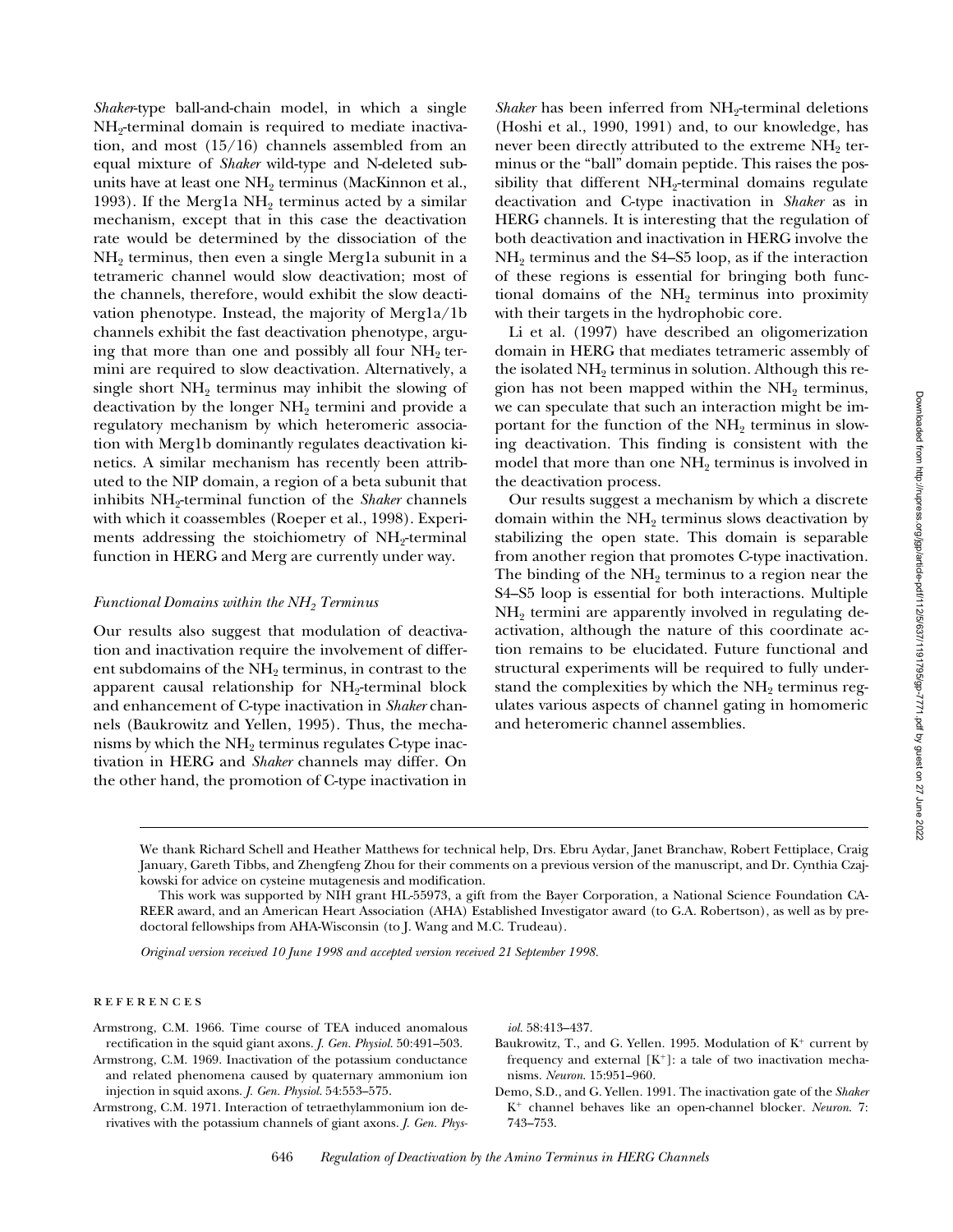*Shaker*-type ball-and-chain model, in which a single  $NH_2$ -terminal domain is required to mediate inactivation, and most (15/16) channels assembled from an equal mixture of *Shaker* wild-type and N-deleted subunits have at least one  $NH<sub>2</sub>$  terminus (MacKinnon et al., 1993). If the Merg1a  $NH<sub>2</sub>$  terminus acted by a similar mechanism, except that in this case the deactivation rate would be determined by the dissociation of the  $NH<sub>2</sub>$  terminus, then even a single Merg1a subunit in a tetrameric channel would slow deactivation; most of the channels, therefore, would exhibit the slow deactivation phenotype. Instead, the majority of Merg1a/1b channels exhibit the fast deactivation phenotype, arguing that more than one and possibly all four  $NH<sub>2</sub>$  termini are required to slow deactivation. Alternatively, a single short  $NH_2$  terminus may inhibit the slowing of deactivation by the longer  $NH<sub>2</sub>$  termini and provide a regulatory mechanism by which heteromeric association with Merg1b dominantly regulates deactivation kinetics. A similar mechanism has recently been attributed to the NIP domain, a region of a beta subunit that inhibits NH<sub>2</sub>-terminal function of the *Shaker* channels with which it coassembles (Roeper et al., 1998). Experiments addressing the stoichiometry of  $NH<sub>2</sub>$ -terminal function in HERG and Merg are currently under way.

#### *Functional Domains within the NH2 Terminus*

Our results also suggest that modulation of deactivation and inactivation require the involvement of different subdomains of the NH<sub>2</sub> terminus, in contrast to the apparent causal relationship for NH<sub>2</sub>-terminal block and enhancement of C-type inactivation in *Shaker* channels (Baukrowitz and Yellen, 1995). Thus, the mechanisms by which the  $NH<sub>2</sub>$  terminus regulates C-type inactivation in HERG and *Shaker* channels may differ. On the other hand, the promotion of C-type inactivation in

*Shaker* has been inferred from NH<sub>2</sub>-terminal deletions (Hoshi et al., 1990, 1991) and, to our knowledge, has never been directly attributed to the extreme  $NH<sub>2</sub>$  terminus or the "ball" domain peptide. This raises the possibility that different  $NH<sub>2</sub>$ -terminal domains regulate deactivation and C-type inactivation in *Shaker* as in HERG channels. It is interesting that the regulation of both deactivation and inactivation in HERG involve the  $NH<sub>2</sub>$  terminus and the S4–S5 loop, as if the interaction of these regions is essential for bringing both functional domains of the  $NH<sub>2</sub>$  terminus into proximity with their targets in the hydrophobic core.

Li et al. (1997) have described an oligomerization domain in HERG that mediates tetrameric assembly of the isolated  $NH<sub>2</sub>$  terminus in solution. Although this region has not been mapped within the  $NH<sub>2</sub>$  terminus, we can speculate that such an interaction might be important for the function of the  $NH<sub>2</sub>$  terminus in slowing deactivation. This finding is consistent with the model that more than one  $NH<sub>2</sub>$  terminus is involved in the deactivation process.

Our results suggest a mechanism by which a discrete domain within the  $NH<sub>2</sub>$  terminus slows deactivation by stabilizing the open state. This domain is separable from another region that promotes C-type inactivation. The binding of the  $NH<sub>2</sub>$  terminus to a region near the S4–S5 loop is essential for both interactions. Multiple  $NH<sub>2</sub>$  termini are apparently involved in regulating deactivation, although the nature of this coordinate action remains to be elucidated. Future functional and structural experiments will be required to fully understand the complexities by which the  $NH<sub>2</sub>$  terminus regulates various aspects of channel gating in homomeric and heteromeric channel assemblies.

*Original version received 10 June 1998 and accepted version received 21 September 1998.*

# references

- Armstrong, C.M. 1966. Time course of TEA induced anomalous rectification in the squid giant axons. *J. Gen. Physiol.* 50:491–503.
- Armstrong, C.M. 1969. Inactivation of the potassium conductance and related phenomena caused by quaternary ammonium ion injection in squid axons. *J. Gen. Physiol.* 54:553–575.
- Armstrong, C.M. 1971. Interaction of tetraethylammonium ion derivatives with the potassium channels of giant axons. *J. Gen. Phys-*

*iol.* 58:413–437.

- Baukrowitz, T., and G. Yellen. 1995. Modulation of  $K^+$  current by frequency and external  $[K^+]$ : a tale of two inactivation mechanisms. *Neuron*. 15:951–960.
- Demo, S.D., and G. Yellen. 1991. The inactivation gate of the *Shaker* K<sup>1</sup> channel behaves like an open-channel blocker. *Neuron*. 7: 743–753.

We thank Richard Schell and Heather Matthews for technical help, Drs. Ebru Aydar, Janet Branchaw, Robert Fettiplace, Craig January, Gareth Tibbs, and Zhengfeng Zhou for their comments on a previous version of the manuscript, and Dr. Cynthia Czajkowski for advice on cysteine mutagenesis and modification.

This work was supported by NIH grant HL-55973, a gift from the Bayer Corporation, a National Science Foundation CA-REER award, and an American Heart Association (AHA) Established Investigator award (to G.A. Robertson), as well as by predoctoral fellowships from AHA-Wisconsin (to J. Wang and M.C. Trudeau).